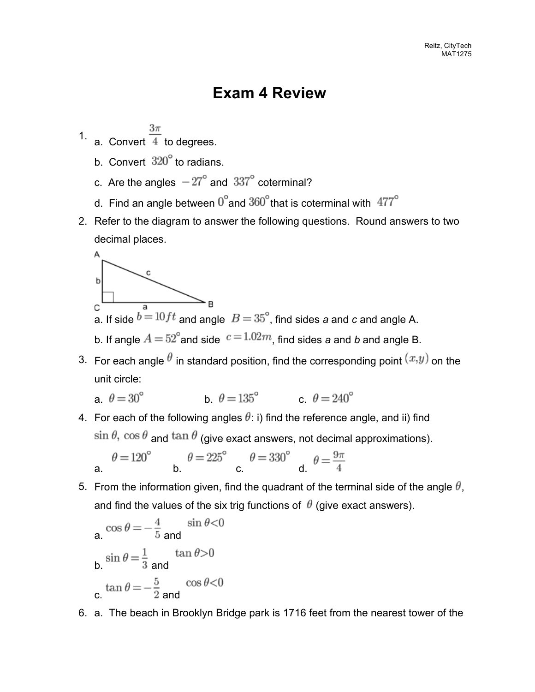## **Exam 4 Review**

1. a. Convert  $\frac{3\pi}{4}$  to degrees.

- b. Convert  $320^\circ$  to radians.
- c. Are the angles  $-27^\circ$  and  $337^\circ$  coterminal?
- d. Find an angle between  $0^{\circ}$  and  $360^{\circ}$  that is coterminal with  $477^{\circ}$
- 2. Refer to the diagram to answer the following questions. Round answers to two decimal places.

- a. If side  $b = 10ft$  and angle  $B = 35^\circ$ , find sides *a* and *c* and angle A.
- b. If angle  $A = 52^{\circ}$  and side  $c = 1.02m$  find sides a and *b* and angle B.
- 3. For each angle  $\theta$  in standard position, find the corresponding point  $(x,y)$  on the unit circle:
	- a.  $\theta = 30^{\circ}$  b.  $\theta = 135^{\circ}$  c.  $\theta = 240^{\circ}$
- 4. For each of the following angles  $\theta$ : i) find the reference angle, and ii) find  $\sin \theta$ ,  $\cos \theta$  and  $\tan \theta$  (give exact answers, not decimal approximations).

 $\theta = 120^{\circ}$   $\theta = 225^{\circ}$   $\theta = 330^{\circ}$   $\theta = \frac{9\pi}{4}$ 

5. From the information given, find the quadrant of the terminal side of the angle  $\theta$ , and find the values of the six trig functions of  $\theta$  (give exact answers).

a. 
$$
\cos \theta = -\frac{4}{5}
$$
 and  $\sin \theta < 0$   
\nb.  $\sin \theta = \frac{1}{3}$  and  $\tan \theta > 0$   
\nc.  $\tan \theta = -\frac{5}{2}$  and  $\cos \theta < 0$ 

6. a. The beach in Brooklyn Bridge park is 1716 feet from the nearest tower of the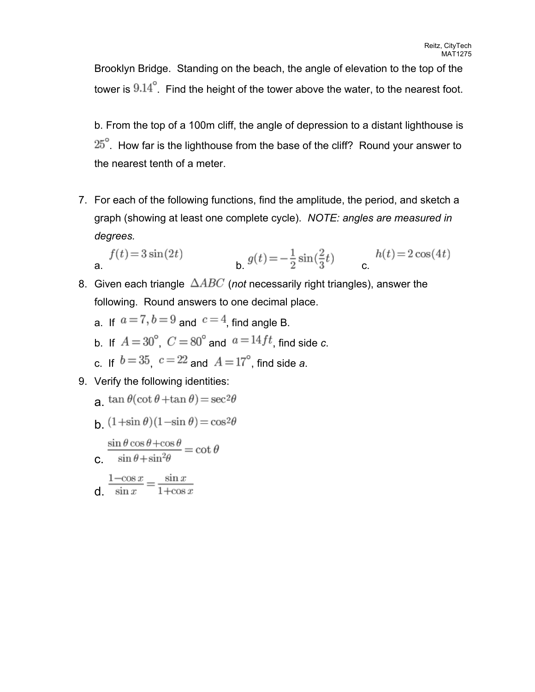Brooklyn Bridge. Standing on the beach, the angle of elevation to the top of the tower is  $9.14^{\circ}$  Find the height of the tower above the water, to the nearest foot.

b. From the top of a 100m cliff, the angle of depression to a distant lighthouse is  $25^\circ$ . How far is the lighthouse from the base of the cliff? Round your answer to the nearest tenth of a meter.

7. For each of the following functions, find the amplitude, the period, and sketch a graph (showing at least one complete cycle). *NOTE: angles are measured in degrees.*

a. 
$$
f(t) = 3 \sin(2t)
$$
  
b.  $g(t) = -\frac{1}{2} \sin(\frac{2}{3}t)$   
c.  $h(t) = 2 \cos(4t)$ 

- 8. Given each triangle  $\triangle ABC$  (not necessarily right triangles), answer the following. Round answers to one decimal place.
	- a. If  $a=7, b=9$  and  $c=4$ , find angle B.
	- b. If  $A = 30^\circ$   $C = 80^\circ$  and  $a = 14 ft$  find side *c*.
	- c. If  $b = 35$   $c = 22$  and  $A = 17^{\circ}$  find side *a*.
- 9. Verify the following identities:

$$
a \ \tan \theta(\cot \theta + \tan \theta) = \sec^2 \theta
$$

$$
b. (1+\sin\theta)(1-\sin\theta) = \cos^2\theta
$$

c. 
$$
\frac{\sin \theta \cos \theta + \cos \theta}{\sin \theta + \sin^2 \theta} = \cot \theta
$$

$$
d. \frac{1 - \cos x}{\sin x} = \frac{\sin x}{1 + \cos x}
$$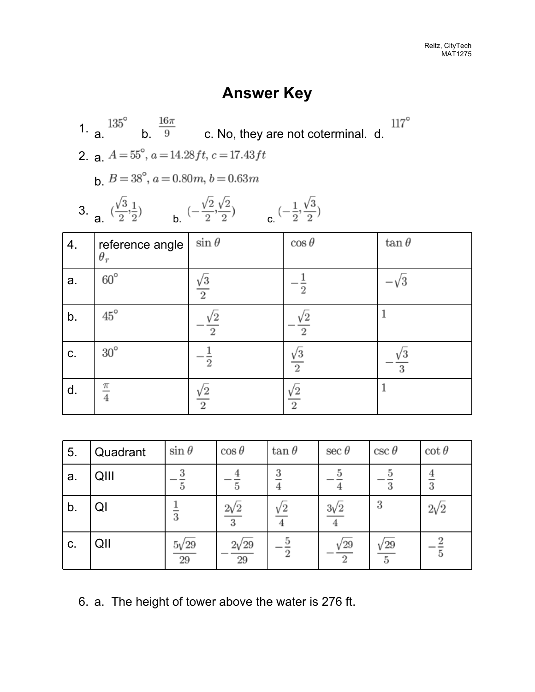**Answer Key**

1.  $a.$   $\frac{135^{\circ}}{9}$  b.  $\frac{16\pi}{9}$  c. No, they are not coterminal. d.  $117^\circ$ 2. a.  $A = 55^\circ$ ,  $a = 14.28 \, ft$ ,  $c = 17.43 \, ft$ b.  $B = 38^\circ$ ,  $a = 0.80m$ ,  $b = 0.63m$ 3. **a.**  $2 \t2'$  b.  $2 \t2'$  c.  $\sin \theta$  $\cos \theta$  $\tan\theta$ 4. reference angle  $\theta_r$  $60^\circ$  $\frac{\sqrt{3}}{2}$  $-\frac{1}{2}$  $-\sqrt{3}$ a.  $45^{\circ}$  $\frac{\sqrt{2}}{2}$  $\mathbf{1}$  $-\frac{\sqrt{2}}{2}$ b.  $\frac{\sqrt{3}}{2}$  $30^{\circ}$  $-\frac{1}{2}$  $\frac{\sqrt{3}}{3}$ c.  $\frac{\sqrt{2}}{2}$  $\frac{\pi}{4}$  $\frac{\sqrt{2}}{2}$  $\mathbf{1}$ d.

| 5. | Quadrant | $\sin \theta$      | $\cos \theta$      | $\tan\theta$ | $\sec \theta$ | $\csc \theta$    | $\cot \theta$ |
|----|----------|--------------------|--------------------|--------------|---------------|------------------|---------------|
| a. | QIII     |                    | 5                  | 3            |               | 3                | 3             |
| b. | Ql       | 3                  | $2\sqrt{2}$<br>-3  | /2           | $3\sqrt{2}$   | 3                | $2\sqrt{2}$   |
| C. | QII      | $5\sqrt{29}$<br>29 | $2\sqrt{29}$<br>29 | 2            | $\sqrt{29}$   | $\sqrt{29}$<br>5 | 5             |

6. a. The height of tower above the water is 276 ft.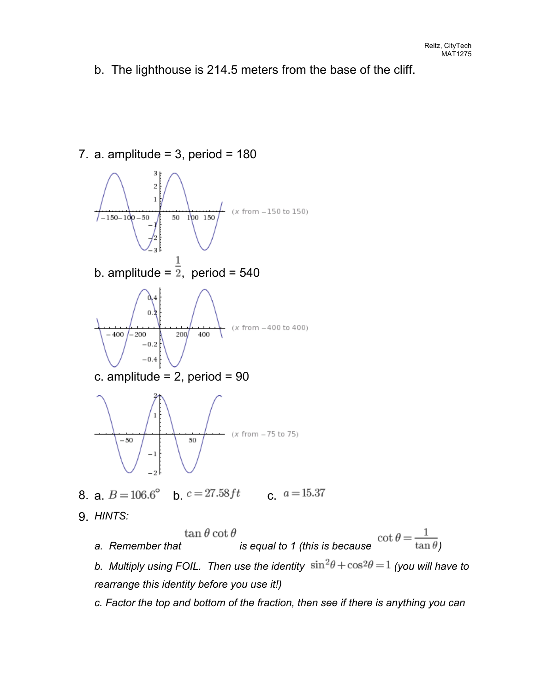b. The lighthouse is 214.5 meters from the base of the cliff.



9. *HINTS:*

 $\tan \theta \cot \theta$ *a. Remember that*  $\cos \theta = \frac{1}{\tan \theta}$  is equal to 1 (this is because  $\cot \theta = \frac{1}{\tan \theta}$ ) *b. Multiply using FOIL. Then use the identity*  $\sin^2\theta + \cos^2\theta = 1$  (you will have to *rearrange this identity before you use it!)*

*c. Factor the top and bottom of the fraction, then see if there is anything you can*